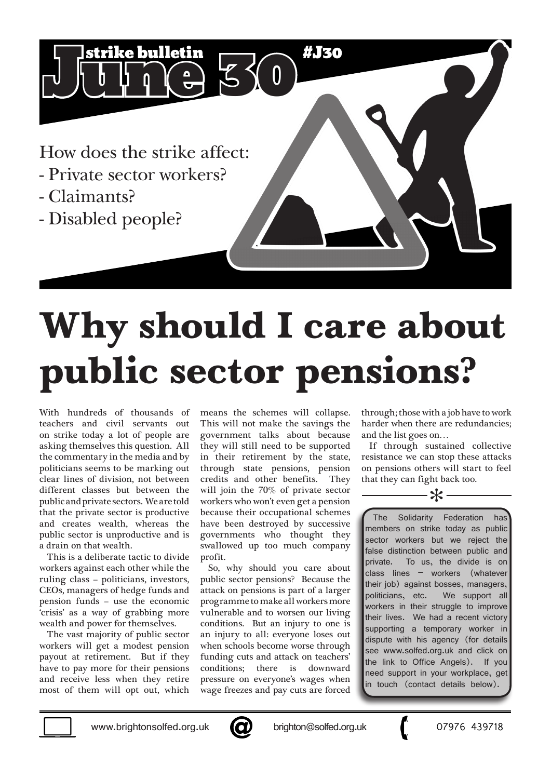How does the strike affect:

 $J$  if  $J$   $\begin{bmatrix} 0 & 0 \end{bmatrix}$   $\begin{bmatrix} 0 & 0 \end{bmatrix}$ 

- Private sector workers?
- Claimants?
- Disabled people?

## **Why should I care about public sector pensions?**

#J30

With hundreds of thousands of teachers and civil servants out on strike today a lot of people are asking themselves this question. All the commentary in the media and by politicians seems to be marking out clear lines of division, not between different classes but between the public and private sectors. We are told that the private sector is productive and creates wealth, whereas the public sector is unproductive and is a drain on that wealth.

This is a deliberate tactic to divide workers against each other while the ruling class – politicians, investors, CEOs, managers of hedge funds and pension funds – use the economic 'crisis' as a way of grabbing more wealth and power for themselves.

The vast majority of public sector workers will get a modest pension payout at retirement. But if they have to pay more for their pensions and receive less when they retire most of them will opt out, which

means the schemes will collapse. This will not make the savings the government talks about because they will still need to be supported in their retirement by the state, through state pensions, pension credits and other benefits. They will join the 70% of private sector workers who won't even get a pension because their occupational schemes have been destroyed by successive governments who thought they swallowed up too much company profit.

So, why should you care about public sector pensions? Because the attack on pensions is part of a larger programme to make all workers more vulnerable and to worsen our living conditions. But an injury to one is an injury to all: everyone loses out when schools become worse through funding cuts and attack on teachers' conditions; there is downward pressure on everyone's wages when wage freezes and pay cuts are forced

through; those with a job have to work harder when there are redundancies; and the list goes on…

If through sustained collective resistance we can stop these attacks on pensions others will start to feel that they can fight back too.